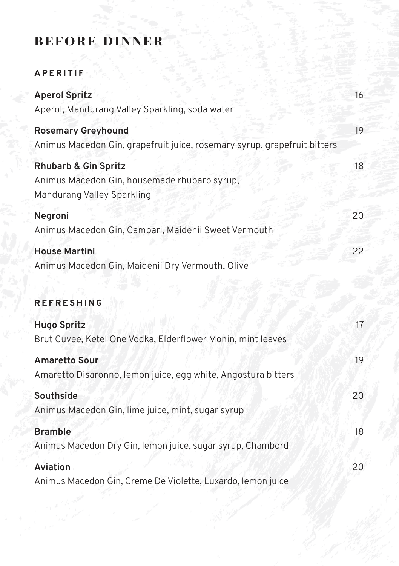## before dinner

### **APERITIF**

| <b>Aperol Spritz</b><br>Aperol, Mandurang Valley Sparkling, soda water                                        | 16 |
|---------------------------------------------------------------------------------------------------------------|----|
| <b>Rosemary Greyhound</b><br>Animus Macedon Gin, grapefruit juice, rosemary syrup, grapefruit bitters         | 19 |
| <b>Rhubarb &amp; Gin Spritz</b><br>Animus Macedon Gin, housemade rhubarb syrup,<br>Mandurang Valley Sparkling | 18 |
| Negroni                                                                                                       | 20 |
| Animus Macedon Gin, Campari, Maidenii Sweet Vermouth                                                          |    |
| <b>House Martini</b><br>Animus Macedon Gin, Maidenii Dry Vermouth, Olive                                      | 22 |
| <b>REFRESHING</b>                                                                                             |    |
| <b>Hugo Spritz</b><br>Brut Cuvee, Ketel One Vodka, Elderflower Monin, mint leaves                             | 17 |
| <b>Amaretto Sour</b><br>Amaretto Disaronno, lemon juice, egg white, Angostura bitters                         | 19 |
| Southside<br>Animus Macedon Gin, lime juice, mint, sugar syrup                                                | 20 |
| <b>Bramble</b>                                                                                                | 18 |
| Animus Macedon Dry Gin, lemon juice, sugar syrup, Chambord                                                    |    |
| Aviation                                                                                                      | 20 |
| Animus Macedon Gin, Creme De Violette, Luxardo, Iemon juice                                                   |    |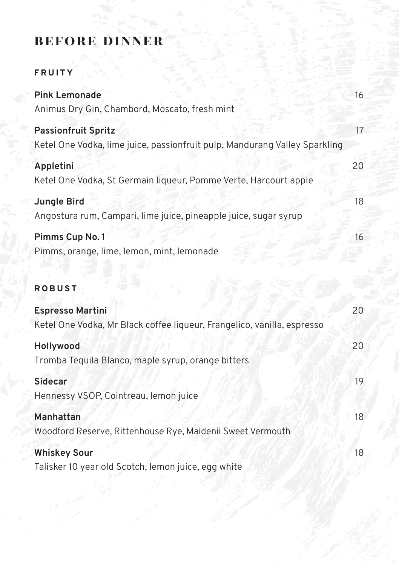### before dinner

### **FRUITY**

| <b>Pink Lemonade</b><br>Animus Dry Gin, Chambord, Moscato, fresh mint                                    | 16 |
|----------------------------------------------------------------------------------------------------------|----|
| <b>Passionfruit Spritz</b><br>Ketel One Vodka, lime juice, passionfruit pulp, Mandurang Valley Sparkling | 17 |
| Appletini<br>Ketel One Vodka, St Germain liqueur, Pomme Verte, Harcourt apple                            | 20 |
| <b>Jungle Bird</b><br>Angostura rum, Campari, lime juice, pineapple juice, sugar syrup                   | 18 |
| Pimms Cup No. 1<br>Pimms, orange, lime, lemon, mint, lemonade                                            | 16 |

# **ROBUST**

| <b>Espresso Martini</b>                                                 | 20 |
|-------------------------------------------------------------------------|----|
| Ketel One Vodka, Mr Black coffee liqueur, Frangelico, vanilla, espresso |    |
| Hollywood                                                               | 20 |
| Tromba Tequila Blanco, maple syrup, orange bitters                      |    |
| <b>Sidecar</b>                                                          | 19 |
| Hennessy VSOP, Cointreau, lemon juice                                   |    |
| Manhattan                                                               | 18 |
| Woodford Reserve, Rittenhouse Rye, Maidenii Sweet Vermouth              |    |
| <b>Whiskey Sour</b>                                                     | 18 |
| Talisker 10 year old Scotch, lemon juice, egg white                     |    |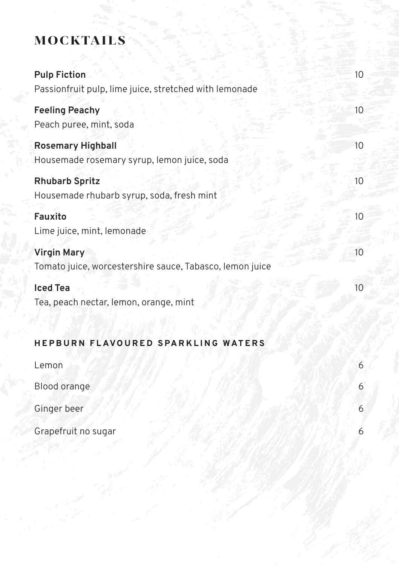# mocktails

| <b>Pulp Fiction</b><br>Passionfruit pulp, lime juice, stretched with lemonade  | 10               |
|--------------------------------------------------------------------------------|------------------|
| <b>Feeling Peachy</b><br>Peach puree, mint, soda                               | 10 <sup>°</sup>  |
| <b>Rosemary Highball</b><br>Housemade rosemary syrup, lemon juice, soda        | 10               |
| <b>Rhubarb Spritz</b><br>Housemade rhubarb syrup, soda, fresh mint             | 10 <sup>°</sup>  |
| Fauxito<br>Lime juice, mint, lemonade                                          | 10 <sup>10</sup> |
| <b>Virgin Mary</b><br>Tomato juice, worcestershire sauce, Tabasco, lemon juice | 10               |
| <b>Iced Tea</b><br>Tea, peach nectar, lemon, orange, mint                      | 10               |
| HEPBURN FLAVOURED SPARKLING WATERS                                             |                  |
| Lemon                                                                          | 6                |
| Blood orange                                                                   | 6                |
| Ginger beer                                                                    | 6                |

Grapefruit no sugar 6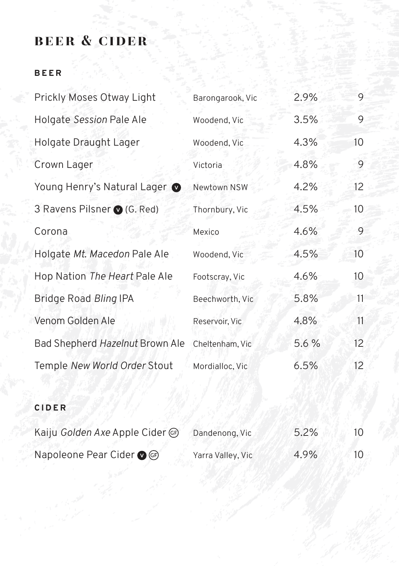## beer & cider

#### **B E E R**

| Prickly Moses Otway Light       | Barongarook, Vic | 2.9%  | 9  |
|---------------------------------|------------------|-------|----|
| Holgate Session Pale Ale        | Woodend, Vic     | 3.5%  | 9  |
| Holgate Draught Lager           | Woodend, Vic     | 4.3%  | 10 |
| Crown Lager                     | Victoria         | 4.8%  | 9  |
| Young Henry's Natural Lager     | Newtown NSW      | 4.2%  | 12 |
| 3 Ravens Pilsner (G. Red)       | Thornbury, Vic   | 4.5%  | 10 |
| Corona                          | Mexico           | 4.6%  | 9  |
| Holgate Mt. Macedon Pale Ale    | Woodend, Vic     | 4.5%  | 10 |
| Hop Nation The Heart Pale Ale   | Footscray, Vic   | 4.6%  | 10 |
| Bridge Road Bling IPA           | Beechworth, Vic  | 5.8%  | 11 |
| Venom Golden Ale                | Reservoir, Vic   | 4.8%  | 11 |
| Bad Shepherd Hazelnut Brown Ale | Cheltenham, Vic  | 5.6 % | 12 |
| Temple New World Order Stout    | Mordialloc, Vic  | 6.5%  | 12 |

#### **CIDER**

| Kaiju Golden Axe Apple Cider (G) | Dandenong, Vic    | 5.2% | 10  |
|----------------------------------|-------------------|------|-----|
| Napoleone Pear Cider ● GP        | Yarra Valley, Vic | 4.9% | 10. |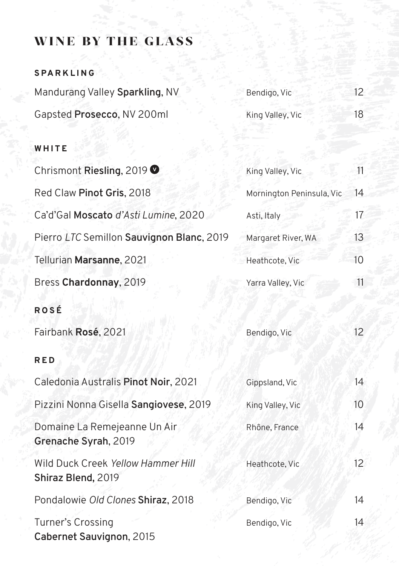### wine by the glass

### **SPARKLING**

| Mandurang Valley Sparkling, NV | Bendigo, Vic     | 12 |
|--------------------------------|------------------|----|
| Gapsted Prosecco, NV 200ml     | King Valley, Vic | 18 |

#### **WHITE**

| Chrismont Riesling, 2019 $\bullet$                       | King Valley, Vic          | $11^{\circ}$    |
|----------------------------------------------------------|---------------------------|-----------------|
| Red Claw Pinot Gris, 2018                                | Mornington Peninsula, Vic | 14              |
| Ca'd'Gal Moscato d'Asti Lumine, 2020                     | Asti, Italy               | 17 <sup>2</sup> |
| Pierro LTC Semillon Sauvignon Blanc, 2019                | Margaret River, WA        | 13              |
| Tellurian Marsanne, 2021                                 | Heathcote, Vic            | 10              |
| Bress Chardonnay, 2019                                   | Yarra Valley, Vic         | 11              |
| ROSÉ                                                     |                           |                 |
| Fairbank Rosé, 2021                                      | Bendigo, Vic              | 12 <sup>°</sup> |
| <b>RED</b>                                               |                           |                 |
| Caledonia Australis Pinot Noir, 2021                     | Gippsland, Vic            | 14              |
| Pizzini Nonna Gisella Sangiovese, 2019                   | King Valley, Vic          | 10 <sup>°</sup> |
| Domaine La Remejeanne Un Air<br>Grenache Syrah, 2019     | Rhône, France             | 14              |
| Wild Duck Creek Yellow Hammer Hill<br>Shiraz Blend, 2019 | Heathcote, Vic            | 12              |
| Pondalowie Old Clones Shiraz, 2018                       | Bendigo, Vic              | 14              |
| Turner's Crossing<br>Cabernet Sauvignon, 2015            | Bendigo, Vic              | $\overline{14}$ |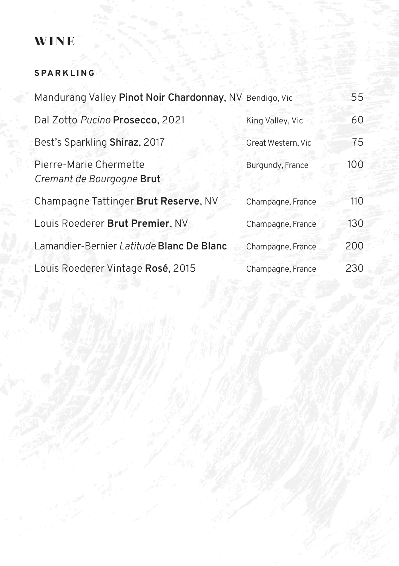#### **SPARKLING**

| Mandurang Valley Pinot Noir Chardonnay, NV Bendigo, Vic |                    | 55  |
|---------------------------------------------------------|--------------------|-----|
| Dal Zotto Pucino Prosecco, 2021                         | King Valley, Vic   | 60  |
| Best's Sparkling Shiraz, 2017                           | Great Western, Vic | 75  |
| Pierre-Marie Chermette<br>Cremant de Bourgogne Brut     | Burgundy, France   | 100 |
| Champagne Tattinger Brut Reserve, NV                    | Champagne, France  | 110 |
| Louis Roederer Brut Premier, NV                         | Champagne, France  | 130 |
| Lamandier-Bernier Latitude Blanc De Blanc               | Champagne, France  | 200 |
| Louis Roederer Vintage Rosé, 2015                       | Champagne, France  | 230 |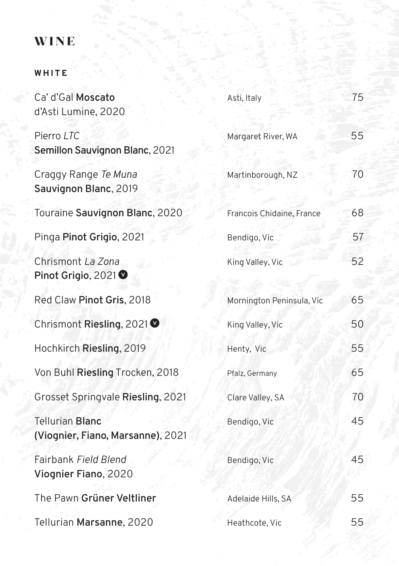#### **WHITE**

| Ca' d'Gal Moscato<br>d'Asti Lumine, 2020                    | Asti, Italy               | 75 |
|-------------------------------------------------------------|---------------------------|----|
| Pierro LTC<br>Semillon Sauvignon Blanc, 2021                | Margaret River, WA        | 55 |
| Craggy Range Te Muna<br>Sauvignon Blanc, 2019               | Martinborough, NZ         | 70 |
| Touraine Sauvignon Blanc, 2020                              | Francois Chidaine, France | 68 |
| Pinga Pinot Grigio, 2021                                    | Bendigo, Vic              | 57 |
| Chrismont La Zona<br>Pinot Grigio, 2021 <b>Ø</b>            | King Valley, Vic          | 52 |
| Red Claw Pinot Gris, 2018                                   | Mornington Peninsula, Vic | 65 |
| Chrismont Riesling, 2021 <b>Ø</b>                           | King Valley, Vic          | 50 |
| Hochkirch Riesling, 2019                                    | Henty, Vic                | 55 |
| Von Buhl Riesling Trocken, 2018                             | Pfalz, Germany            | 65 |
| Grosset Springvale Riesling, 2021                           | Clare Valley, SA          | 70 |
| <b>Tellurian Blanc</b><br>(Viognier, Fiano, Marsanne), 2021 | Bendigo, Vic              | 45 |
| Fairbank Field Blend<br>Viognier Fiano, 2020                | Bendigo, Vic              | 45 |
| The Pawn Grüner Veltliner                                   | Adelaide Hills, SA        | 55 |
| Tellurian Marsanne, 2020                                    | Heathcote, Vic            | 55 |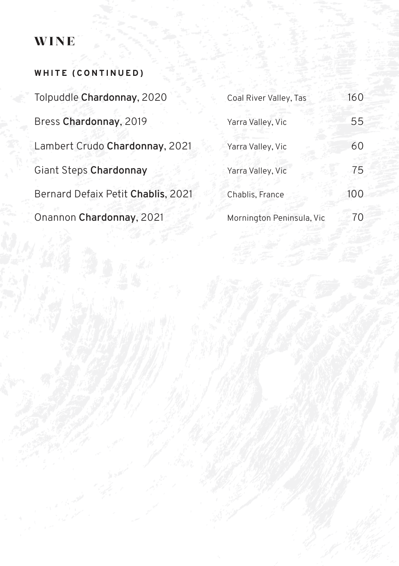| WHITE (CONTINUED)                  |                           |     |
|------------------------------------|---------------------------|-----|
| Tolpuddle Chardonnay, 2020         | Coal River Valley, Tas    | 160 |
| Bress Chardonnay, 2019             | Yarra Valley, Vic         | 55  |
| Lambert Crudo Chardonnay, 2021     | Yarra Valley, Vic         | 60  |
| Giant Steps Chardonnay             | Yarra Valley, Vic         | 75  |
| Bernard Defaix Petit Chablis, 2021 | Chablis, France           | 100 |
| Onannon Chardonnay, 2021           | Mornington Peninsula, Vic | 70  |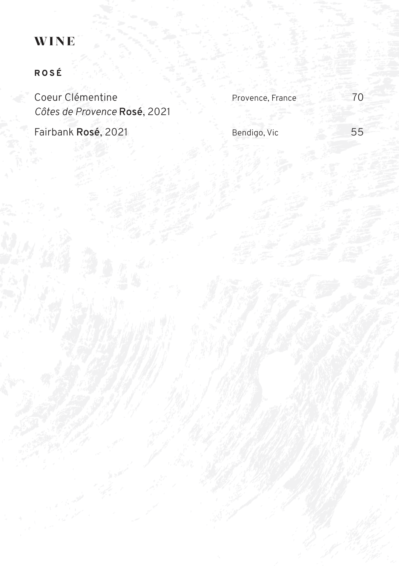### **ROSÉ**

Coeur Clémentine Provence, France 70 *Côtes de Provence* **Rosé**, 2021

Fairbank **Rosé**, 2021 **Bendigo, Vice 55**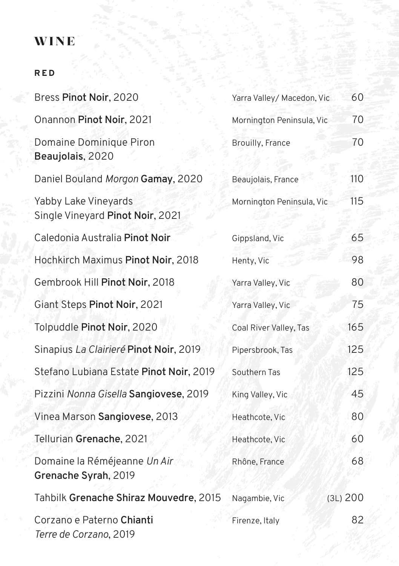#### **R E D**

| Bress Pinot Noir, 2020                                   | Yarra Valley/ Macedon, Vic | 60       |
|----------------------------------------------------------|----------------------------|----------|
| Onannon Pinot Noir, 2021                                 | Mornington Peninsula, Vic  | 70       |
| Domaine Dominique Piron<br>Beaujolais, 2020              | <b>Brouilly, France</b>    | 70       |
| Daniel Bouland Morgon Gamay, 2020                        | Beaujolais, France         | 110      |
| Yabby Lake Vineyards<br>Single Vineyard Pinot Noir, 2021 | Mornington Peninsula, Vic  | 115      |
| Caledonia Australia Pinot Noir                           | Gippsland, Vic             | 65       |
| Hochkirch Maximus Pinot Noir, 2018                       | Henty, Vic                 | 98       |
| Gembrook Hill Pinot Noir, 2018                           | Yarra Valley, Vic          | 80       |
| Giant Steps Pinot Noir, 2021                             | Yarra Valley, Vic          | 75       |
| Tolpuddle Pinot Noir, 2020                               | Coal River Valley, Tas     | 165      |
| Sinapius La Clairieré Pinot Noir, 2019                   | Pipersbrook, Tas           | 125      |
| Stefano Lubiana Estate Pinot Noir, 2019                  | Southern Tas               | 125      |
| Pizzini Nonna Gisella Sangiovese, 2019                   | King Valley, Vic           | 45       |
| Vinea Marson Sangiovese, 2013                            | Heathcote, Vic             | 80       |
| Tellurian Grenache, 2021                                 | Heathcote, Vic             | 60       |
| Domaine la Réméjeanne Un Air<br>Grenache Syrah, 2019     | Rhône, France              | 68       |
| Tahbilk Grenache Shiraz Mouvedre, 2015                   | Nagambie, Vic              | (3L) 200 |
| Corzano e Paterno Chianti<br>Terre de Corzano, 2019      | Firenze, Italy             | 82       |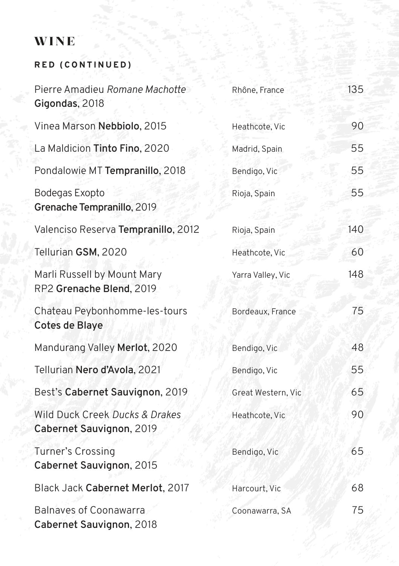### wine

### **R E D ( C O N T I N U E D )**

| Pierre Amadieu Romane Machotte<br>Gigondas, 2018           | Rhône, France      | 135 |
|------------------------------------------------------------|--------------------|-----|
| Vinea Marson Nebbiolo, 2015                                | Heathcote, Vic     | 90  |
| La Maldicion Tinto Fino, 2020                              | Madrid, Spain      | 55  |
| Pondalowie MT Tempranillo, 2018                            | Bendigo, Vic       | 55  |
| Bodegas Exopto<br>Grenache Tempranillo, 2019               | Rioja, Spain       | 55  |
| Valenciso Reserva Tempranillo, 2012                        | Rioja, Spain       | 140 |
| Tellurian GSM, 2020                                        | Heathcote, Vic     | 60  |
| Marli Russell by Mount Mary<br>RP2 Grenache Blend, 2019    | Yarra Valley, Vic  | 148 |
| Chateau Peybonhomme-les-tours<br>Cotes de Blaye            | Bordeaux, France   | 75  |
| Mandurang Valley Merlot, 2020                              | Bendigo, Vic       | 48  |
| Tellurian Nero d'Avola, 2021                               | Bendigo, Vic       | 55  |
| Best's Cabernet Sauvignon, 2019                            | Great Western, Vic | 65  |
| Wild Duck Creek Ducks & Drakes<br>Cabernet Sauvignon, 2019 | Heathcote, Vic     | 90  |
| <b>Turner's Crossing</b><br>Cabernet Sauvignon, 2015       | Bendigo, Vic       | 65  |
| Black Jack Cabernet Merlot, 2017                           | Harcourt, Vic      | 68  |
| <b>Balnaves of Coonawarra</b><br>Cabernet Sauvignon, 2018  | Coonawarra, SA     | 75  |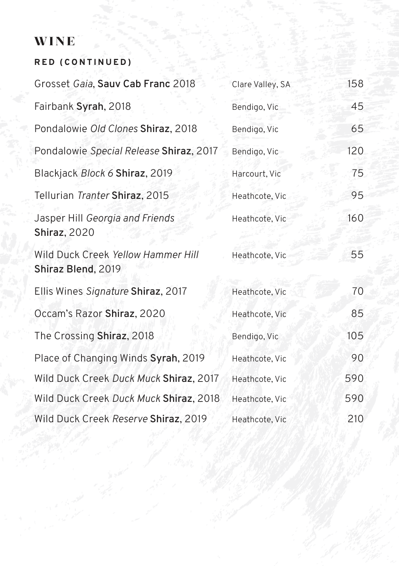### wine

# **R E D ( C O N T I N U E D )**

| Grosset Gaia, Sauv Cab Franc 2018                        | Clare Valley, SA | 158 |
|----------------------------------------------------------|------------------|-----|
| Fairbank Syrah, 2018                                     | Bendigo, Vic     | 45  |
| Pondalowie Old Clones Shiraz, 2018                       | Bendigo, Vic     | 65  |
| Pondalowie Special Release Shiraz, 2017                  | Bendigo, Vic     | 120 |
| Blackjack Block 6 Shiraz, 2019                           | Harcourt, Vic    | 75  |
| Tellurian Tranter Shiraz, 2015                           | Heathcote, Vic   | 95  |
| Jasper Hill Georgia and Friends<br><b>Shiraz</b> , 2020  | Heathcote, Vic   | 160 |
| Wild Duck Creek Yellow Hammer Hill<br>Shiraz Blend, 2019 | Heathcote, Vic   | 55  |
| Ellis Wines Signature Shiraz, 2017                       | Heathcote, Vic   | 70  |
| Occam's Razor Shiraz, 2020                               | Heathcote, Vic   | 85  |
| The Crossing Shiraz, 2018                                | Bendigo, Vic     | 105 |
| Place of Changing Winds Syrah, 2019                      | Heathcote, Vic   | 90  |
| Wild Duck Creek Duck Muck Shiraz, 2017                   | Heathcote, Vic   | 590 |
| Wild Duck Creek Duck Muck Shiraz, 2018                   | Heathcote, Vic   | 590 |
| Wild Duck Creek Reserve Shiraz, 2019                     | Heathcote, Vic   | 210 |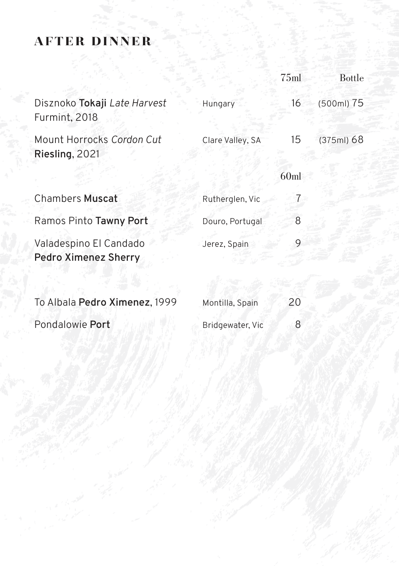### after dinner

|                                                       |                  | 75ml | <b>Bottle</b> |
|-------------------------------------------------------|------------------|------|---------------|
| Disznoko Tokaji Late Harvest<br>Furmint, 2018         | Hungary          | 16   | (500ml) 75    |
| Mount Horrocks Cordon Cut<br>Riesling, 2021           | Clare Valley, SA | 15   | (375ml) 68    |
|                                                       |                  | 60ml |               |
| <b>Chambers Muscat</b>                                | Rutherglen, Vic  |      |               |
| Ramos Pinto Tawny Port                                | Douro, Portugal  | 8    |               |
| Valadespino El Candado<br><b>Pedro Ximenez Sherry</b> | Jerez, Spain     |      |               |
|                                                       |                  |      |               |

| To Albala Pedro Ximenez, 1999 | Montilla, Spain  | 20 |
|-------------------------------|------------------|----|
| Pondalowie Port               | Bridgewater, Vic |    |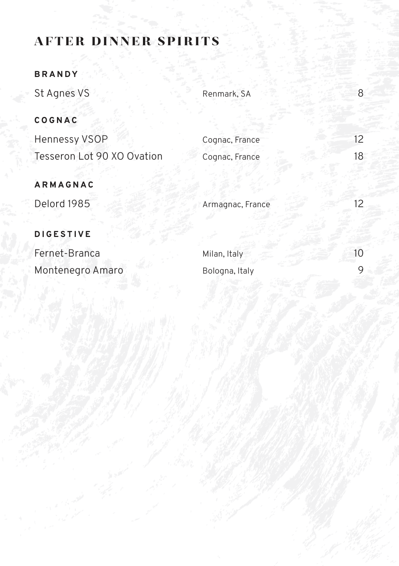### after dinner spirits

#### **BRANDY**

St Agnes VS 8 Renmark, SA 8 8

#### **COGNAC**

| Hennessy VSOP              | Cognac, France |  |
|----------------------------|----------------|--|
| Tesseron Lot 90 XO Ovation | Cognac, France |  |

### **ARMAGNAC**

Delord 1985 Armagnac, France 12

#### **DIGESTIVE**

Fernet-Branca Montenegro Amaro

| Milan, Italy   | 10 |
|----------------|----|
| Bologna, Italy |    |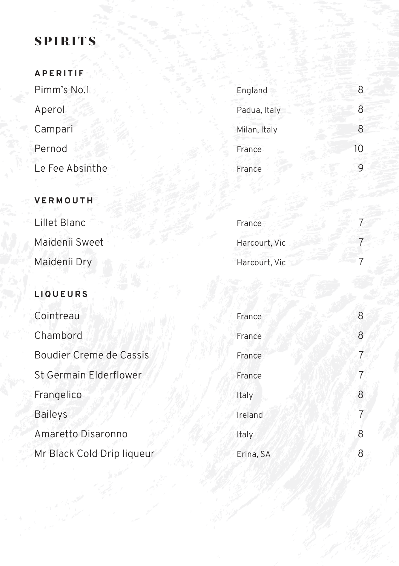### **SPIRITS**

| <b>APERITIF</b> |              |    |
|-----------------|--------------|----|
| Pimm's No.1     | England      | 8  |
| Aperol          | Padua, Italy | 8  |
| Campari         | Milan, Italy | 8  |
| Pernod          | France       | 10 |
| Le Fee Absinthe | France       | 9  |

| Pimm's No.1                           | England      | 8  |
|---------------------------------------|--------------|----|
| Aperol                                | Padua, Italy |    |
| Campari                               | Milan, Italy | 8. |
| Pernod                                | France       |    |
| التوالية والمساري والمستقبل والمستقبل |              |    |

| Lillet Blanc   | France        |  |
|----------------|---------------|--|
| Maidenii Sweet | Harcourt, Vic |  |
| Maidenii Dry   | Harcourt, Vic |  |

#### **L I Q U E U R S**

**VERMOUTH**

| Cointreau                      | France    | 8              |
|--------------------------------|-----------|----------------|
| Chambord                       | France    | 8              |
| <b>Boudier Creme de Cassis</b> | France    | $\overline{7}$ |
| <b>St Germain Elderflower</b>  | France    | 7              |
| Frangelico                     | Italy     | 8              |
| <b>Baileys</b>                 | Ireland   | 7              |
| Amaretto Disaronno             | Italy     | 8              |
| Mr Black Cold Drip liqueur     | Erina, SA | 8              |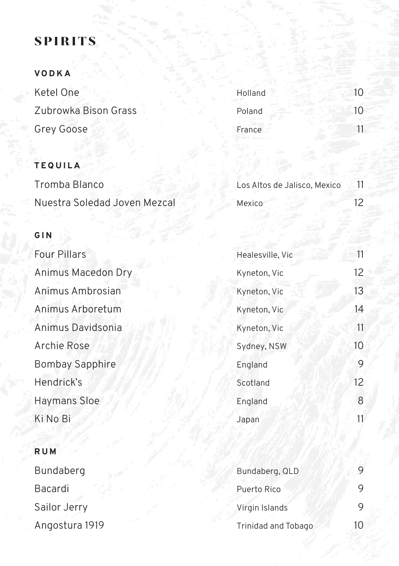### **SPIRITS**

### **VODKA**

| Ketel One            | Holland |  |
|----------------------|---------|--|
| Zubrowka Bison Grass | Poland  |  |
| Grey Goose           | France  |  |

#### **TEQUILA**

| Tromba Blanco                | Los Altos de Jalisco, Mexico |  |  |
|------------------------------|------------------------------|--|--|
| Nuestra Soledad Joven Mezcal | Mexico                       |  |  |

#### **GIN**

| <b>Four Pillars</b>    | Healesville, Vic | 11              |
|------------------------|------------------|-----------------|
| Animus Macedon Dry     | Kyneton, Vic     | 12 <sub>2</sub> |
| Animus Ambrosian       | Kyneton, Vic     | 13              |
| Animus Arboretum       | Kyneton, Vic     | 14              |
| Animus Davidsonia      | Kyneton, Vic     | 11              |
| Archie Rose            | Sydney, NSW      | 10              |
| <b>Bombay Sapphire</b> | England          | 9               |
| Hendrick's             | Scotland         | 12              |
| <b>Haymans Sloe</b>    | England          | 8               |
| Ki No Bi               | Japan            | 11              |
|                        |                  |                 |

### **RUM**

Bundaberg Bacardi Sailor Jerry Angostura 1919

| Bundaberg, QLD      |    |
|---------------------|----|
| Puerto Rico         | 9  |
| Virgin Islands      |    |
| Trinidad and Tobago | 10 |